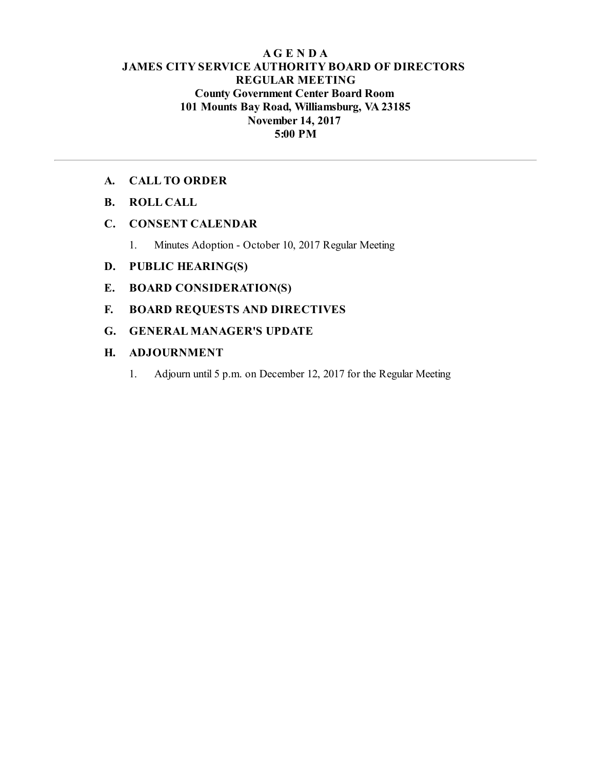# **AG E N D A JAMES CITY SERVICE AUTHORITY BOARD OF DIRECTORS REGULAR MEETING County Government Center Board Room 101 Mounts Bay Road, Williamsburg, VA23185 November 14, 2017 5:00 PM**

## **A. CALL TO ORDER**

**B. ROLL CALL**

# **C. CONSENT CALENDAR**

1. Minutes Adoption - October 10, 2017 Regular Meeting

# **D. PUBLIC HEARING(S)**

- **E. BOARD CONSIDERATION(S)**
- **F. BOARD REQUESTS AND DIRECTIVES**
- **G. GENERAL MANAGER'S UPDATE**

## **H. ADJOURNMENT**

1. Adjourn until 5 p.m. on December 12, 2017 for the Regular Meeting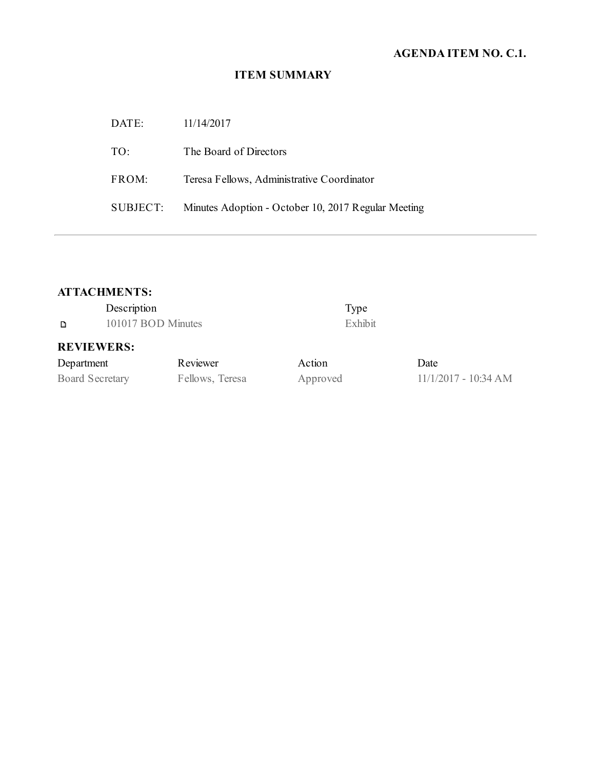# **AGENDA ITEM NO. C.1.**

# **ITEM SUMMARY**

| DATE:    | 11/14/2017                                          |
|----------|-----------------------------------------------------|
| TO:      | The Board of Directors                              |
| FROM:    | Teresa Fellows, Administrative Coordinator          |
| SUBJECT: | Minutes Adoption - October 10, 2017 Regular Meeting |

# **ATTACHMENTS:**

|                                             | Description        | Type                                    |
|---------------------------------------------|--------------------|-----------------------------------------|
| D                                           | 101017 BOD Minutes | Exhibit                                 |
|                                             | <b>REVIEWERS:</b>  |                                         |
| $\mathbf{D}$ and a solution of $\mathbf{L}$ | $\mathbf{D}$       | $\lambda$ $\lambda$ $\lambda$ $\lambda$ |

| Department             | Reviewer        | Action   | Date                   |
|------------------------|-----------------|----------|------------------------|
| <b>Board Secretary</b> | Fellows, Teresa | Approved | $11/1/2017 - 10:34 AM$ |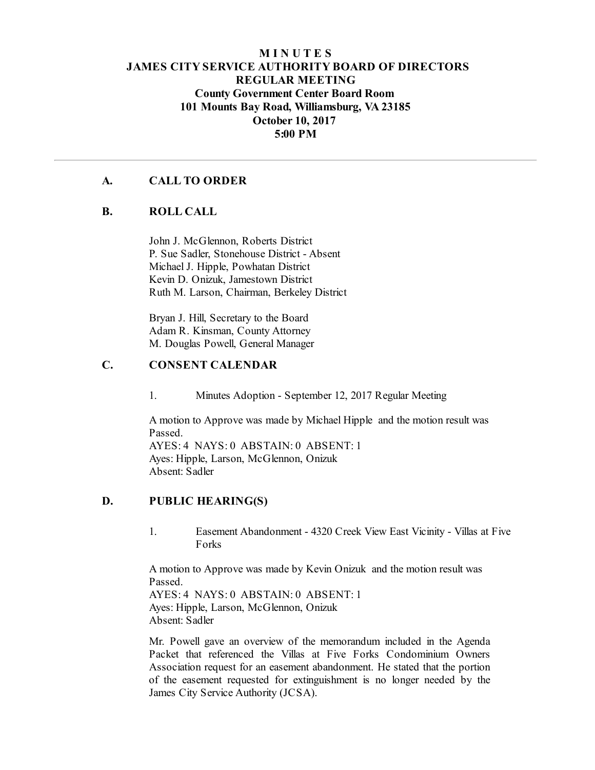# **M I N U T E S JAMES CITY SERVICE AUTHORITY BOARD OF DIRECTORS REGULAR MEETING County Government Center Board Room 101 Mounts Bay Road, Williamsburg, VA23185 October 10, 2017 5:00 PM**

### **A. CALL TO ORDER**

### **B. ROLL CALL**

John J. McGlennon, Roberts District P. Sue Sadler, Stonehouse District - Absent Michael J. Hipple, Powhatan District Kevin D. Onizuk, Jamestown District Ruth M. Larson, Chairman, Berkeley District

Bryan J. Hill, Secretary to the Board Adam R. Kinsman, County Attorney M. Douglas Powell, General Manager

# **C. CONSENT CALENDAR**

1. Minutes Adoption - September 12, 2017 Regular Meeting

A motion to Approve was made by Michael Hipple and the motion result was Passed. AYES: 4 NAYS: 0 ABSTAIN: 0 ABSENT: 1 Ayes: Hipple, Larson, McGlennon, Onizuk Absent: Sadler

#### **D. PUBLIC HEARING(S)**

1. Easement Abandonment - 4320 Creek View East Vicinity - Villas at Five Forks

A motion to Approve was made by Kevin Onizuk and the motion result was Passed.

AYES: 4 NAYS: 0 ABSTAIN: 0 ABSENT: 1 Ayes: Hipple, Larson, McGlennon, Onizuk Absent: Sadler

Mr. Powell gave an overview of the memorandum included in the Agenda Packet that referenced the Villas at Five Forks Condominium Owners Association request for an easement abandonment. He stated that the portion of the easement requested for extinguishment is no longer needed by the James City Service Authority (JCSA).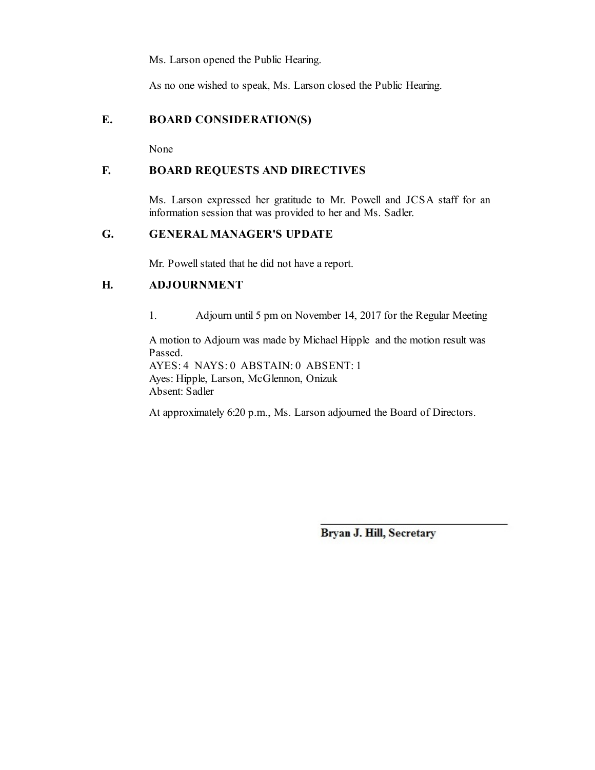Ms. Larson opened the Public Hearing.

As no one wished to speak, Ms. Larson closed the Public Hearing.

# **E. BOARD CONSIDERATION(S)**

None

# **F. BOARD REQUESTS AND DIRECTIVES**

Ms. Larson expressed her gratitude to Mr. Powell and JCSA staff for an information session that was provided to her and Ms. Sadler.

# **G. GENERAL MANAGER'S UPDATE**

Mr. Powell stated that he did not have a report.

# **H. ADJOURNMENT**

1. Adjourn until 5 pm on November 14, 2017 for the Regular Meeting

A motion to Adjourn was made by Michael Hipple and the motion result was Passed.

AYES: 4 NAYS: 0 ABSTAIN: 0 ABSENT: 1 Ayes: Hipple, Larson, McGlennon, Onizuk Absent: Sadler

At approximately 6:20 p.m., Ms. Larson adjourned the Board of Directors.

Bryan J. Hill, Secretary